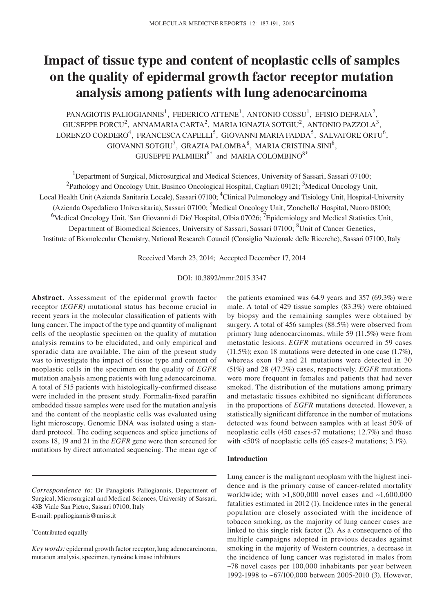# **Impact of tissue type and content of neoplastic cells of samples on the quality of epidermal growth factor receptor mutation analysis among patients with lung adenocarcinoma**

PANAGIOTIS PALIOGIANNIS<sup>1</sup>, FEDERICO ATTENE<sup>1</sup>, ANTONIO COSSU<sup>1</sup>, EFISIO DEFRAIA<sup>2</sup>, GIUSEPPE PORCU<sup>2</sup>, ANNAMARIA CARTA<sup>2</sup>, MARIA IGNAZIA SOTGIU<sup>2</sup>, ANTONIO PAZZOLA<sup>3</sup>, LORENZO CORDERO<sup>4</sup>, FRANCESCA CAPELLI<sup>5</sup>, GIOVANNI MARIA FADDA<sup>5</sup>, SALVATORE ORTU<sup>6</sup>, GIOVANNI SOTGIU<sup>7</sup>, GRAZIA PALOMBA<sup>8</sup>, MARIA CRISTINA SINI<sup>8</sup>, GIUSEPPE PALMIERI $^{8*}$  and MARIA COLOMBINO $^{8*}$ 

<sup>1</sup>Department of Surgical, Microsurgical and Medical Sciences, University of Sassari, Sassari 07100;

 $^2$ Pathology and Oncology Unit, Businco Oncological Hospital, Cagliari 09121;  $^3$ Medical Oncology Unit, Local Health Unit (Azienda Sanitaria Locale), Sassari 07100; <sup>4</sup>Clinical Pulmonology and Tisiology Unit, Hospital-University (Azienda Ospedaliero Universitaria), Sassari 07100; <sup>5</sup>Medical Oncology Unit, 'Zonchello' Hospital, Nuoro 08100;  $^6$ Medical Oncology Unit, 'San Giovanni di Dio' Hospital, Olbia 07026;  $^7$ Epidemiology and Medical Statistics Unit, Department of Biomedical Sciences, University of Sassari, Sassari 07100; <sup>8</sup>Unit of Cancer Genetics, Institute of Biomolecular Chemistry, National Research Council (Consiglio Nazionale delle Ricerche), Sassari 07100, Italy

Received March 23, 2014; Accepted December 17, 2014

DOI: 10.3892/mmr.2015.3347

**Abstract.** Assessment of the epidermal growth factor receptor (*EGFR)* mutational status has become crucial in recent years in the molecular classification of patients with lung cancer. The impact of the type and quantity of malignant cells of the neoplastic specimen on the quality of mutation analysis remains to be elucidated, and only empirical and sporadic data are available. The aim of the present study was to investigate the impact of tissue type and content of neoplastic cells in the specimen on the quality of *EGFR* mutation analysis among patients with lung adenocarcinoma. A total of 515 patients with histologically‑confirmed disease were included in the present study. Formalin-fixed paraffin embedded tissue samples were used for the mutation analysis and the content of the neoplastic cells was evaluated using light microscopy. Genomic DNA was isolated using a standard protocol. The coding sequences and splice junctions of exons 18, 19 and 21 in the *EGFR* gene were then screened for mutations by direct automated sequencing. The mean age of

\* Contributed equally

the patients examined was 64.9 years and 357 (69.3%) were male. A total of 429 tissue samples (83.3%) were obtained by biopsy and the remaining samples were obtained by surgery. A total of 456 samples (88.5%) were observed from primary lung adenocarcinomas, while 59 (11.5%) were from metastatic lesions. *EGFR* mutations occurred in 59 cases (11.5%); exon 18 mutations were detected in one case (1.7%), whereas exon 19 and 21 mutations were detected in 30 (51%) and 28 (47.3%) cases, respectively. *EGFR* mutations were more frequent in females and patients that had never smoked. The distribution of the mutations among primary and metastatic tissues exhibited no significant differences in the proportions of *EGFR* mutations detected. However, a statistically significant difference in the number of mutations detected was found between samples with at least 50% of neoplastic cells (450 cases-57 mutations; 12.7%) and those with  $<50\%$  of neoplastic cells (65 cases-2 mutations; 3.1%).

# **Introduction**

Lung cancer is the malignant neoplasm with the highest incidence and is the primary cause of cancer-related mortality worldwide; with  $>1,800,000$  novel cases and  $~1,600,000$ fatalities estimated in 2012 (1). Incidence rates in the general population are closely associated with the incidence of tobacco smoking, as the majority of lung cancer cases are linked to this single risk factor (2). As a consequence of the multiple campaigns adopted in previous decades against smoking in the majority of Western countries, a decrease in the incidence of lung cancer was registered in males from  $~100,000$  inhabitants per year between 1992‑1998 to ~67/100,000 between 2005‑2010 (3). However,

*Correspondence to:* Dr Panagiotis Paliogiannis, Department of Surgical, Microsurgical and Medical Sciences, University of Sassari, 43B Viale San Pietro, Sassari 07100, Italy E-mail: ppaliogiannis@uniss.it

*Key words:* epidermal growth factor receptor, lung adenocarcinoma, mutation analysis, specimen, tyrosine kinase inhibitors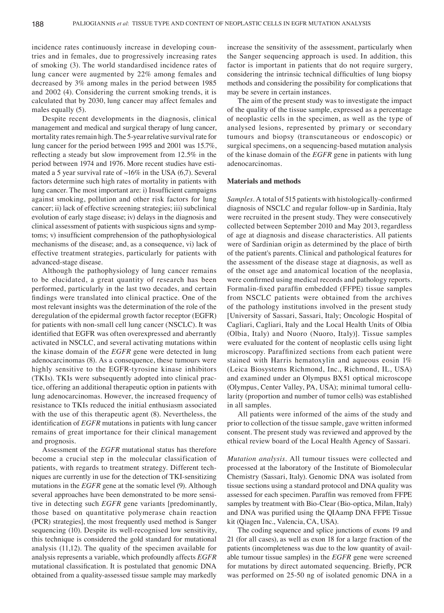incidence rates continuously increase in developing countries and in females, due to progressively increasing rates of smoking (3). The world standardised incidence rates of lung cancer were augmented by 22% among females and decreased by 3% among males in the period between 1985 and 2002 (4). Considering the current smoking trends, it is calculated that by 2030, lung cancer may affect females and males equally (5).

Despite recent developments in the diagnosis, clinical management and medical and surgical therapy of lung cancer, mortality rates remain high. The 5-year relative survival rate for lung cancer for the period between 1995 and 2001 was 15.7%, reflecting a steady but slow improvement from 12.5% in the period between 1974 and 1976. More recent studies have estimated a 5 year survival rate of  $~16\%$  in the USA (6,7). Several factors determine such high rates of mortality in patients with lung cancer. The most important are: i) Insufficient campaigns against smoking, pollution and other risk factors for lung cancer; ii) lack of effective screening strategies; iii) subclinical evolution of early stage disease; iv) delays in the diagnosis and clinical assessment of patients with suspicious signs and symptoms; v) insufficient comprehension of the pathophysiological mechanisms of the disease; and, as a consequence, vi) lack of effective treatment strategies, particularly for patients with advanced-stage disease.

Although the pathophysiology of lung cancer remains to be elucidated, a great quantity of research has been performed, particularly in the last two decades, and certain findings were translated into clinical practice. One of the most relevant insights was the determination of the role of the deregulation of the epidermal growth factor receptor (EGFR) for patients with non-small cell lung cancer (NSCLC). It was identified that EGFR was often overexpressed and aberrantly activated in NSCLC, and several activating mutations within the kinase domain of the *EGFR* gene were detected in lung adenocarcinomas (8). As a consequence, these tumours were highly sensitive to the EGFR-tyrosine kinase inhibitors (TKIs). TKIs were subsequently adopted into clinical practice, offering an additional therapeutic option in patients with lung adenocarcinomas. However, the increased frequency of resistance to TKIs reduced the initial enthusiasm associated with the use of this therapeutic agent (8). Nevertheless, the identification of *EGFR* mutations in patients with lung cancer remains of great importance for their clinical management and prognosis.

Assessment of the *EGFR* mutational status has therefore become a crucial step in the molecular classification of patients, with regards to treatment strategy. Different techniques are currently in use for the detection of TKI-sensitizing mutations in the *EGFR* gene at the somatic level (9). Although several approaches have been demonstrated to be more sensitive in detecting such *EGFR* gene variants [predominantly, those based on quantitative polymerase chain reaction (PCR) strategies], the most frequently used method is Sanger sequencing (10). Despite its well-recognised low sensitivity, this technique is considered the gold standard for mutational analysis (11,12). The quality of the specimen available for analysis represents a variable, which profoundly affects *EGFR* mutational classification. It is postulated that genomic DNA obtained from a quality-assessed tissue sample may markedly increase the sensitivity of the assessment, particularly when the Sanger sequencing approach is used. In addition, this factor is important in patients that do not require surgery, considering the intrinsic technical difficulties of lung biopsy methods and considering the possibility for complications that may be severe in certain instances.

The aim of the present study was to investigate the impact of the quality of the tissue sample, expressed as a percentage of neoplastic cells in the specimen, as well as the type of analysed lesions, represented by primary or secondary tumours and biopsy (transcutaneous or endoscopic) or surgical specimens, on a sequencing-based mutation analysis of the kinase domain of the *EGFR* gene in patients with lung adenocarcinomas.

## **Materials and methods**

*Samples.* A total of 515 patients with histologically‑confirmed diagnosis of NSCLC and regular follow-up in Sardinia, Italy were recruited in the present study. They were consecutively collected between September 2010 and May 2013, regardless of age at diagnosis and disease characteristics. All patients were of Sardinian origin as determined by the place of birth of the patient's parents. Clinical and pathological features for the assessment of the disease stage at diagnosis, as well as of the onset age and anatomical location of the neoplasia, were confirmed using medical records and pathology reports. Formalin‑fixed paraffin embedded (FFPE) tissue samples from NSCLC patients were obtained from the archives of the pathology institutions involved in the present study [University of Sassari, Sassari, Italy; Oncologic Hospital of Cagliari, Cagliari, Italy and the Local Health Units of Olbia (Olbia, Italy) and Nuoro (Nuoro, Italy)]. Tissue samples were evaluated for the content of neoplastic cells using light microscopy. Paraffinized sections from each patient were stained with Harris hematoxylin and aqueous eosin 1% (Leica Biosystems Richmond, Inc., Richmond, IL, USA) and examined under an Olympus BX51 optical microscope (Olympus, Center Valley, PA, USA); minimal tumoral cellularity (proportion and number of tumor cells) was established in all samples.

All patients were informed of the aims of the study and prior to collection of the tissue sample, gave written informed consent. The present study was reviewed and approved by the ethical review board of the Local Health Agency of Sassari.

*Mutation analysis.* All tumour tissues were collected and processed at the laboratory of the Institute of Biomolecular Chemistry (Sassari, Italy). Genomic DNA was isolated from tissue sections using a standard protocol and DNA quality was assessed for each specimen. Paraffin was removed from FFPE samples by treatment with Bio-Clear (Bio-optica, Milan, Italy) and DNA was purified using the QIAamp DNA FFPE Tissue kit (Qiagen Inc., Valencia, CA, USA).

The coding sequence and splice junctions of exons 19 and 21 (for all cases), as well as exon 18 for a large fraction of the patients (incompleteness was due to the low quantity of available tumour tissue samples) in the *EGFR* gene were screened for mutations by direct automated sequencing. Briefly, PCR was performed on 25-50 ng of isolated genomic DNA in a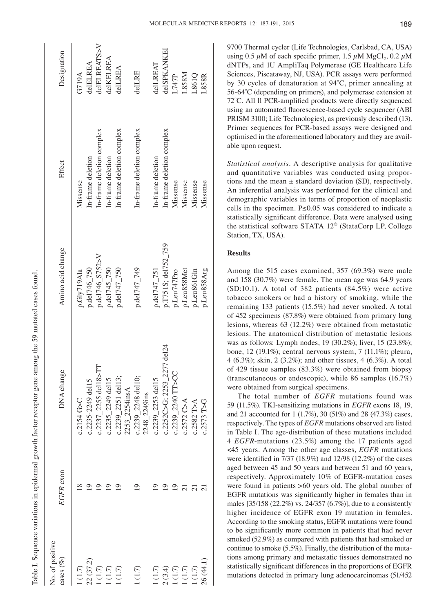| No. of positive<br>cases (%) | EGFR <sub>exon</sub> | DNA change                          | Amino acid change   | Effect                    | Designation  |
|------------------------------|----------------------|-------------------------------------|---------------------|---------------------------|--------------|
| 1(1.7)                       |                      | c.2154 G>C                          | p.Gly719Ala         | Missense                  | G719A        |
| 22 (37.2)                    |                      | c.2235-2249 del15                   | p.del746_750        | In-frame deletion         | delELREA     |
| (1.7)                        |                      | $c.2237$ 2255 del $18 > T$          | p.del746_S752>V     | In-frame deletion complex | delELREATS>V |
| 1(1.7)                       |                      | c.2235_2249 del15                   | p.del745_750        | In-frame deletion         | delKELREA    |
| (1.7)                        |                      | c.2239_2251 del13;<br>2253_2254insA | p.deI747_750        | In-frame deletion complex | delLREA      |
| (1.7)                        |                      | c.2239 2248 del1<br>2248 2249ins    | p.del747_749        | In-frame deletion complex | delLRE       |
| (1.7)                        |                      | c.2239 2253 del15                   | p.deI747_751        | In-frame deletion         | delLREAT     |
| 2(3.4)                       |                      | 2277 del24<br>c.2252C > G; 2253     | p.T751S; del752_759 | In-frame deletion complex | delSPKANKEI  |
| (1.7)                        |                      | g<br>$c.22392240$ TT>               | p.Leu747Pro         | Missense                  | L747P        |
| (1.7)                        |                      | c.2572C > A                         | p.Leu858Met         | Missense                  | L858M        |
| (1.7)                        |                      | c.2582 T > A                        | p.Leu861Gln         | Missense                  | L861Q        |
| 26 (44.1)                    |                      | c.2573T>G                           | p.Leu858Arg         | Missense                  | $-858R$      |
|                              |                      |                                     |                     |                           |              |

Table I. Sequence variations in epidermal growth factor receptor gene among the 59 mutated cases found. Table I. Sequence variations in epidermal growth factor receptor gene among the 59 mutated cases found

9700 Thermal cycler (Life Technologies, Carlsbad, CA, USA) using 0.5  $\mu$ M of each specific primer, 1.5  $\mu$ M MgCl<sub>2</sub>, 0.2  $\mu$ M dNTPs, and 1U AmpliTaq Polymerase (GE Healthcare Life Sciences, Piscataway, NJ, USA). PCR assays were performed by 30 cycles of denaturation at 94˚C, primer annealing at 56-64˚C (depending on primers), and polymerase extension at 72°C. All ll PCR-amplified products were directly sequenced using an automated fluorescence-based cycle sequencer (ABI PRISM 3100; Life Technologies), as previously described (13). Primer sequences for PCR-based assays were designed and optimised in the aforementioned laboratory and they are available upon request.

*Statistical analysis.* A descriptive analysis for qualitative and quantitative variables was conducted using proportions and the mean  $\pm$  standard deviation (SD), respectively. An inferential analysis was performed for the clinical and demographic variables in terms of proportion of neoplastic cells in the specimen. P≤0.05 was considered to indicate a statistically significant difference. Data were analysed using the statistical software STATA 12® (StataCorp LP, College Station, TX, USA).

# **Results**

Among the 515 cases examined, 357 (69.3%) were male and 158 (30.7%) were female. The mean age was 64.9 years (SD:10.1). A total of 382 patients (84.5%) were active tobacco smokers or had a history of smoking, while the remaining 133 patients (15.5%) had never smoked. A total of 452 specimens (87.8%) were obtained from primary lung lesions, whereas 63 (12.2%) were obtained from metastatic lesions. The anatomical distribution of metastatic lesions was as follows: Lymph nodes, 19 (30.2%); liver, 15 (23.8%); bone, 12 (19.1%); central nervous system, 7 (11.1%); pleura, 4 (6.3%); skin, 2 (3.2%); and other tissues, 4 (6.3%). A total of 429 tissue samples (83.3%) were obtained from biopsy (transcutaneous or endoscopic), while 86 samples (16.7%) were obtained from surgical specimens.

The total number of *EGFR* mutations found was 59 (11.5%). TKI‑sensitizing mutations in *EGFR* exons 18, 19, and 21 accounted for 1 (1.7%), 30 (51%) and 28 (47.3%) cases, respectively. The types of *EGFR* mutations observed are listed in Table I. The age-distribution of these mutations included 4 *EGFR*‑mutations (23.5%) among the 17 patients aged <45 years. Among the other age classes, *EGFR* mutations were identified in 7/37 (18.9%) and 12/98 (12.2%) of the cases aged between 45 and 50 years and between 51 and 60 years, respectively. Approximately 10% of EGFR‑mutation cases were found in patients >60 years old. The global number of EGFR mutations was significantly higher in females than in males [35/158 (22.2%) vs. 24/357 (6.7%)], due to a consistently higher incidence of EGFR exon 19 mutation in females. According to the smoking status, EGFR mutations were found to be significantly more common in patients that had never smoked (52.9%) as compared with patients that had smoked or continue to smoke (5.5%). Finally, the distribution of the mutations among primary and metastatic tissues demonstrated no statistically significant differences in the proportions of EGFR mutations detected in primary lung adenocarcinomas (51/452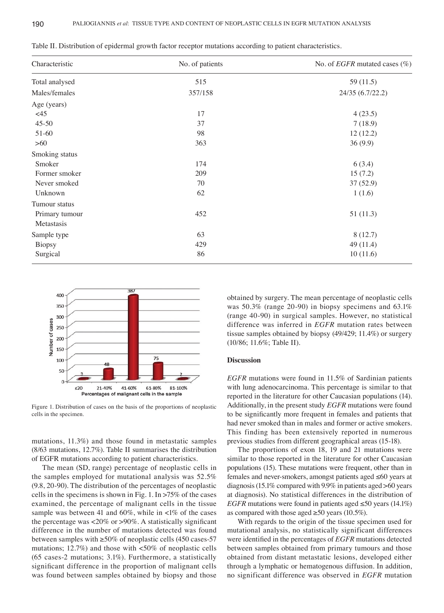| Characteristic | No. of patients | No. of <i>EGFR</i> mutated cases $(\%)$ |  |  |
|----------------|-----------------|-----------------------------------------|--|--|
| Total analysed | 515             | 59(11.5)                                |  |  |
| Males/females  | 357/158         | 24/35 (6.7/22.2)                        |  |  |
| Age (years)    |                 |                                         |  |  |
| $<$ 45         | 17              | 4(23.5)                                 |  |  |
| $45 - 50$      | 37              | 7(18.9)                                 |  |  |
| 51-60          | 98              | 12(12.2)                                |  |  |
| $>60$          | 363             | 36(9.9)                                 |  |  |
| Smoking status |                 |                                         |  |  |
| Smoker         | 174             | 6(3.4)                                  |  |  |
| Former smoker  | 209             | 15(7.2)                                 |  |  |
| Never smoked   | 70              | 37 (52.9)                               |  |  |
| Unknown        | 62              | 1(1.6)                                  |  |  |
| Tumour status  |                 |                                         |  |  |
| Primary tumour | 452             | 51(11.3)                                |  |  |
| Metastasis     |                 |                                         |  |  |
| Sample type    | 63              | 8(12.7)                                 |  |  |
| <b>Biopsy</b>  | 429             | 49(11.4)                                |  |  |
| Surgical       | 86              | 10(11.6)                                |  |  |

| Table II. Distribution of epidermal growth factor receptor mutations according to patient characteristics. |  |  |  |  |  |
|------------------------------------------------------------------------------------------------------------|--|--|--|--|--|
|------------------------------------------------------------------------------------------------------------|--|--|--|--|--|



Figure 1. Distribution of cases on the basis of the proportions of neoplastic cells in the specimen.

mutations, 11.3%) and those found in metastatic samples (8/63 mutations, 12.7%). Table II summarises the distribution of EGFR mutations according to patient characteristics.

The mean (SD, range) percentage of neoplastic cells in the samples employed for mutational analysis was 52.5% (9.8, 20‑90). The distribution of the percentages of neoplastic cells in the specimens is shown in Fig. 1. In >75% of the cases examined, the percentage of malignant cells in the tissue sample was between 41 and 60%, while in  $\langle 1\%$  of the cases the percentage was <20% or >90%. A statistically significant difference in the number of mutations detected was found between samples with  $\geq 50\%$  of neoplastic cells (450 cases-57 mutations;  $12.7\%$ ) and those with  $<50\%$  of neoplastic cells  $(65 \text{ cases-2 mutations}; 3.1\%)$ . Furthermore, a statistically significant difference in the proportion of malignant cells was found between samples obtained by biopsy and those obtained by surgery. The mean percentage of neoplastic cells was 50.3% (range 20‑90) in biopsy specimens and 63.1% (range 40‑90) in surgical samples. However, no statistical difference was inferred in *EGFR* mutation rates between tissue samples obtained by biopsy (49/429; 11.4%) or surgery (10/86; 11.6%; Table II).

#### **Discussion**

*EGFR* mutations were found in 11.5% of Sardinian patients with lung adenocarcinoma. This percentage is similar to that reported in the literature for other Caucasian populations (14). Additionally, in the present study *EGFR* mutations were found to be significantly more frequent in females and patients that had never smoked than in males and former or active smokers. This finding has been extensively reported in numerous previous studies from different geographical areas (15‑18).

The proportions of exon 18, 19 and 21 mutations were similar to those reported in the literature for other Caucasian populations (15). These mutations were frequent, other than in females and never‑smokers, amongst patients aged ≤60 years at diagnosis (15.1% compared with 9.9% in patients aged >60 years at diagnosis). No statistical differences in the distribution of *EGFR* mutations were found in patients aged  $\leq 50$  years (14.1%) as compared with those aged  $\geq 50$  years (10.5%).

With regards to the origin of the tissue specimen used for mutational analysis, no statistically significant differences were identified in the percentages of *EGFR* mutations detected between samples obtained from primary tumours and those obtained from distant metastatic lesions, developed either through a lymphatic or hematogenous diffusion. In addition, no significant difference was observed in *EGFR* mutation